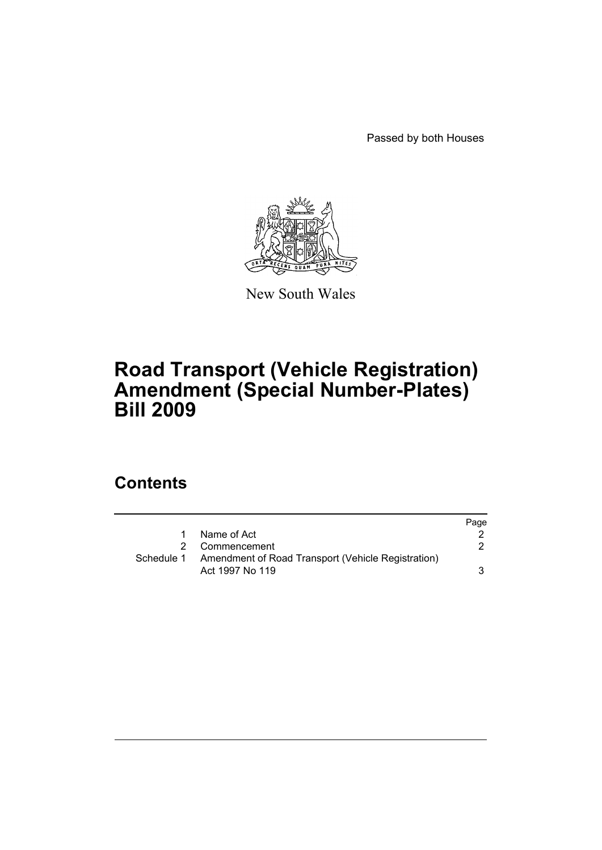Passed by both Houses



New South Wales

## **Road Transport (Vehicle Registration) Amendment (Special Number-Plates) Bill 2009**

### **Contents**

|            |                                                    | Page |
|------------|----------------------------------------------------|------|
| 1.         | Name of Act                                        |      |
|            | 2 Commencement                                     | 2.   |
| Schedule 1 | Amendment of Road Transport (Vehicle Registration) |      |
|            | Act 1997 No 119                                    | 3    |
|            |                                                    |      |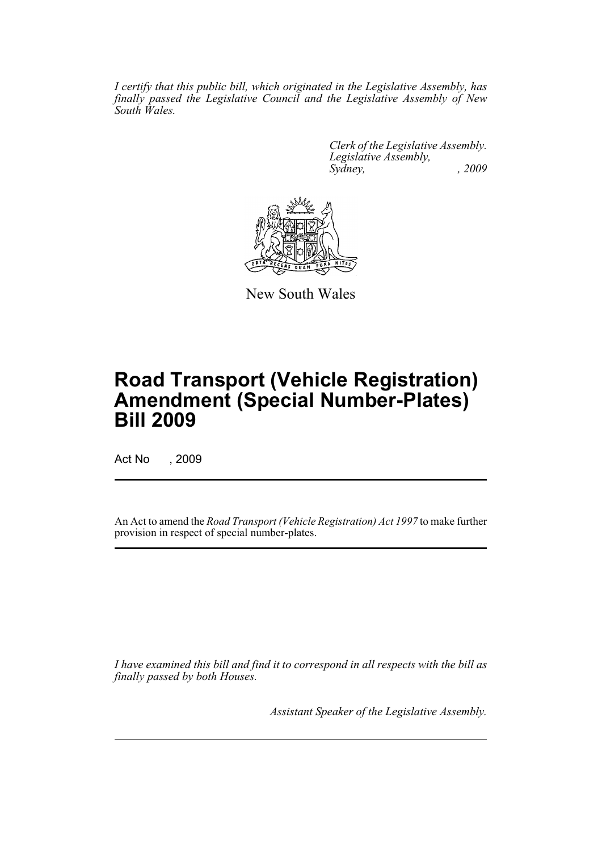*I certify that this public bill, which originated in the Legislative Assembly, has finally passed the Legislative Council and the Legislative Assembly of New South Wales.*

> *Clerk of the Legislative Assembly. Legislative Assembly, Sydney, , 2009*



New South Wales

# **Road Transport (Vehicle Registration) Amendment (Special Number-Plates) Bill 2009**

Act No , 2009

An Act to amend the *Road Transport (Vehicle Registration) Act 1997* to make further provision in respect of special number-plates.

*I have examined this bill and find it to correspond in all respects with the bill as finally passed by both Houses.*

*Assistant Speaker of the Legislative Assembly.*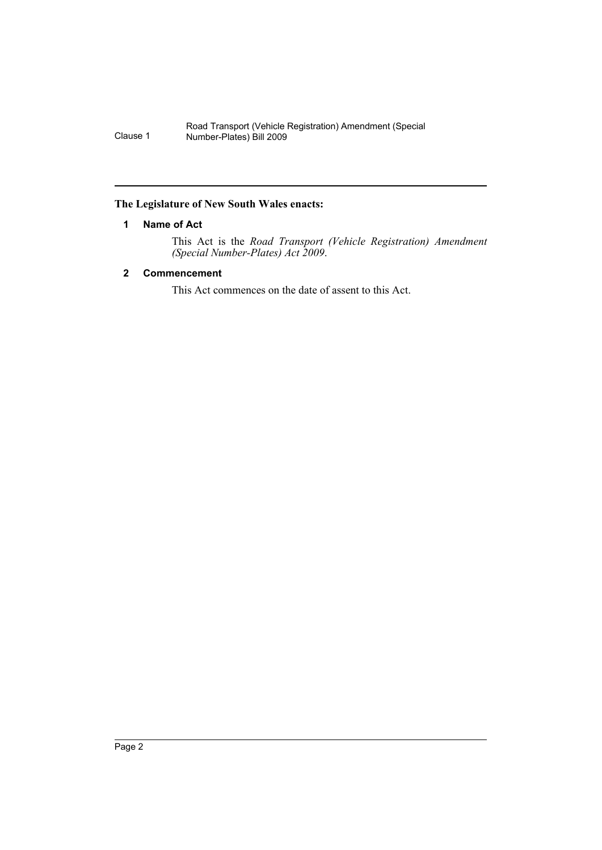Road Transport (Vehicle Registration) Amendment (Special Clause 1 Number-Plates) Bill 2009

#### <span id="page-2-0"></span>**The Legislature of New South Wales enacts:**

#### **1 Name of Act**

This Act is the *Road Transport (Vehicle Registration) Amendment (Special Number-Plates) Act 2009*.

#### <span id="page-2-1"></span>**2 Commencement**

This Act commences on the date of assent to this Act.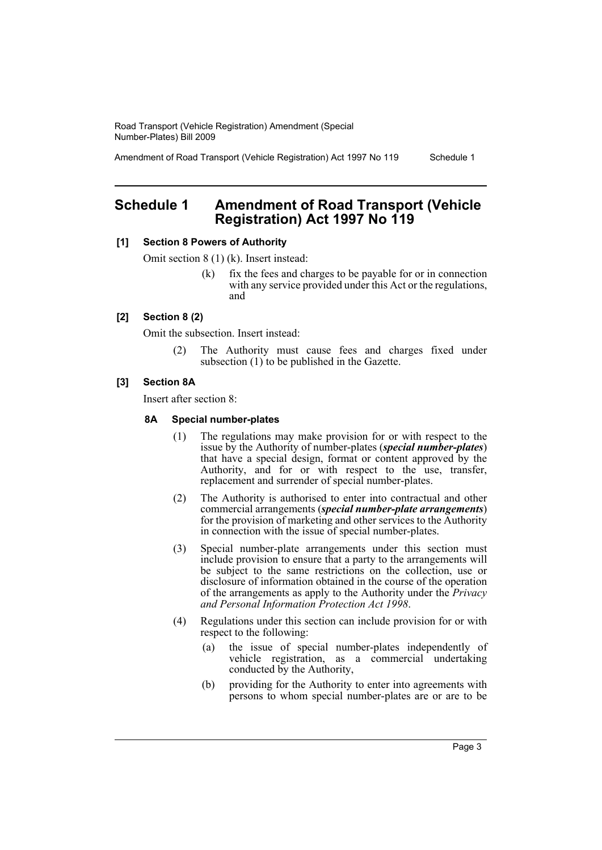Road Transport (Vehicle Registration) Amendment (Special Number-Plates) Bill 2009

Amendment of Road Transport (Vehicle Registration) Act 1997 No 119 Schedule 1

### <span id="page-3-0"></span>**Schedule 1 Amendment of Road Transport (Vehicle Registration) Act 1997 No 119**

#### **[1] Section 8 Powers of Authority**

Omit section 8 (1) (k). Insert instead:

(k) fix the fees and charges to be payable for or in connection with any service provided under this Act or the regulations, and

#### **[2] Section 8 (2)**

Omit the subsection. Insert instead:

(2) The Authority must cause fees and charges fixed under subsection (1) to be published in the Gazette.

#### **[3] Section 8A**

Insert after section 8:

#### **8A Special number-plates**

- (1) The regulations may make provision for or with respect to the issue by the Authority of number-plates (*special number-plates*) that have a special design, format or content approved by the Authority, and for or with respect to the use, transfer, replacement and surrender of special number-plates.
- (2) The Authority is authorised to enter into contractual and other commercial arrangements (*special number-plate arrangements*) for the provision of marketing and other services to the Authority in connection with the issue of special number-plates.
- (3) Special number-plate arrangements under this section must include provision to ensure that a party to the arrangements will be subject to the same restrictions on the collection, use or disclosure of information obtained in the course of the operation of the arrangements as apply to the Authority under the *Privacy and Personal Information Protection Act 1998*.
- (4) Regulations under this section can include provision for or with respect to the following:
	- (a) the issue of special number-plates independently of vehicle registration, as a commercial undertaking conducted by the Authority,
	- (b) providing for the Authority to enter into agreements with persons to whom special number-plates are or are to be